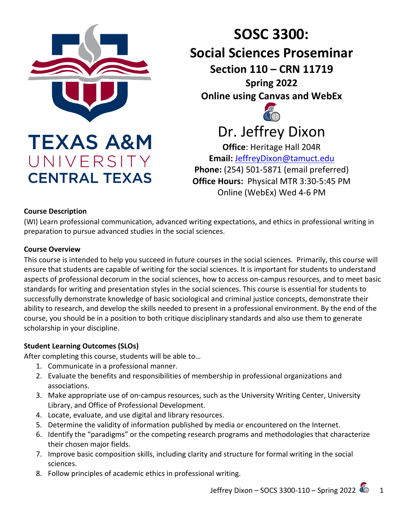

UNIVERSITY

**CENTRAL TEXAS** 

# **SOSC 3300: Social Sciences Proseminar Section 110 – CRN 11719 Spring 2022 Online using Canvas and WebEx** Dr. Jeffrey Dixon

**Office**: Heritage Hall 204R **Email:** [JeffreyDixon@tamuct.edu](mailto:JeffreyDixon@tamuct.edu) **Phone:** (254) 501-5871 (email preferred) **Office Hours:** Physical MTR 3:30-5:45 PM Online (WebEx) Wed 4-6 PM

#### **Course Description**

(WI) Learn professional communication, advanced writing expectations, and ethics in professional writing in preparation to pursue advanced studies in the social sciences.

#### **Course Overview**

This course is intended to help you succeed in future courses in the social sciences. Primarily, this course will ensure that students are capable of writing for the social sciences. It is important for students to understand aspects of professional decorum in the social sciences, how to access on-campus resources, and to meet basic standards for writing and presentation styles in the social sciences. This course is essential for students to successfully demonstrate knowledge of basic sociological and criminal justice concepts, demonstrate their ability to research, and develop the skills needed to present in a professional environment. By the end of the course, you should be in a position to both critique disciplinary standards and also use them to generate scholarship in your discipline.

# **Student Learning Outcomes (SLOs)**

After completing this course, students will be able to…

- 1. Communicate in a professional manner.
- 2. Evaluate the benefits and responsibilities of membership in professional organizations and associations.
- 3. Make appropriate use of on-campus resources, such as the University Writing Center, University Library, and Office of Professional Development.
- 4. Locate, evaluate, and use digital and library resources.
- 5. Determine the validity of information published by media or encountered on the Internet.
- 6. Identify the "paradigms" or the competing research programs and methodologies that characterize their chosen major fields.
- 7. Improve basic composition skills, including clarity and structure for formal writing in the social sciences.
- 8. Follow principles of academic ethics in professional writing.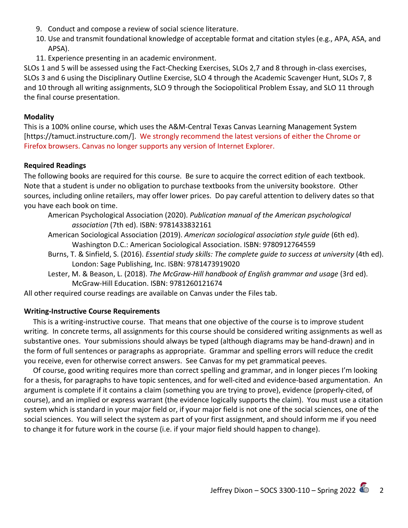- 9. Conduct and compose a review of social science literature.
- 10. Use and transmit foundational knowledge of acceptable format and citation styles (e.g., APA, ASA, and APSA).
- 11. Experience presenting in an academic environment.

SLOs 1 and 5 will be assessed using the Fact-Checking Exercises, SLOs 2,7 and 8 through in-class exercises, SLOs 3 and 6 using the Disciplinary Outline Exercise, SLO 4 through the Academic Scavenger Hunt, SLOs 7, 8 and 10 through all writing assignments, SLO 9 through the Sociopolitical Problem Essay, and SLO 11 through the final course presentation.

#### **Modality**

This is a 100% online course, which uses the A&M-Central Texas Canvas Learning Management System [https://tamuct.instructure.com/]. We strongly recommend the latest versions of either the Chrome or Firefox browsers. Canvas no longer supports any version of Internet Explorer.

#### **Required Readings**

The following books are required for this course. Be sure to acquire the correct edition of each textbook. Note that a student is under no obligation to purchase textbooks from the university bookstore. Other sources, including online retailers, may offer lower prices. Do pay careful attention to delivery dates so that you have each book on time.

American Psychological Association (2020). *Publication manual of the American psychological association* (7th ed). ISBN: 9781433832161

- American Sociological Association (2019). *American sociological association style guide* (6th ed). Washington D.C.: American Sociological Association. ISBN: 9780912764559
- Burns, T. & Sinfield, S. (2016). *Essential study skills: The complete guide to success at university* (4th ed). London: Sage Publishing, Inc. ISBN: 9781473919020
- Lester, M. & Beason, L. (2018). *The McGraw-Hill handbook of English grammar and usage* (3rd ed). McGraw-Hill Education. ISBN: 9781260121674

All other required course readings are available on Canvas under the Files tab.

# **Writing-Instructive Course Requirements**

 This is a writing-instructive course. That means that one objective of the course is to improve student writing. In concrete terms, all assignments for this course should be considered writing assignments as well as substantive ones. Your submissions should always be typed (although diagrams may be hand-drawn) and in the form of full sentences or paragraphs as appropriate. Grammar and spelling errors will reduce the credit you receive, even for otherwise correct answers. See Canvas for my pet grammatical peeves.

 Of course, good writing requires more than correct spelling and grammar, and in longer pieces I'm looking for a thesis, for paragraphs to have topic sentences, and for well-cited and evidence-based argumentation. An argument is complete if it contains a claim (something you are trying to prove), evidence (properly-cited, of course), and an implied or express warrant (the evidence logically supports the claim). You must use a citation system which is standard in your major field or, if your major field is not one of the social sciences, one of the social sciences. You will select the system as part of your first assignment, and should inform me if you need to change it for future work in the course (i.e. if your major field should happen to change).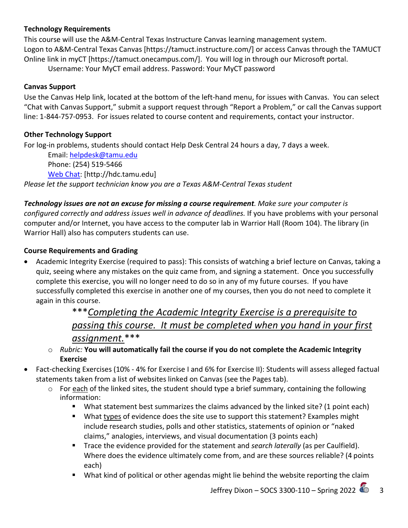#### **Technology Requirements**

This course will use the A&M-Central Texas Instructure Canvas learning management system. Logon to A&M-Central Texas Canvas [https://tamuct.instructure.com/] or access Canvas through the TAMUCT Online link in myCT [https://tamuct.onecampus.com/]. You will log in through our Microsoft portal.

Username: Your MyCT email address. Password: Your MyCT password

#### **Canvas Support**

Use the Canvas Help link, located at the bottom of the left-hand menu, for issues with Canvas. You can select "Chat with Canvas Support," submit a support request through "Report a Problem," or call the Canvas support line: 1-844-757-0953. For issues related to course content and requirements, contact your instructor.

#### **Other Technology Support**

For log-in problems, students should contact Help Desk Central 24 hours a day, 7 days a week.

Email: [helpdesk@tamu.edu](mailto:helpdesk@tamu.edu) Phone: (254) 519-5466 [Web Chat:](http://hdc.tamu.edu/) [http://hdc.tamu.edu] *Please let the support technician know you are a Texas A&M-Central Texas student*

*Technology issues are not an excuse for missing a course requirement. Make sure your computer is configured correctly and address issues well in advance of deadlines.* If you have problems with your personal computer and/or Internet, you have access to the computer lab in Warrior Hall (Room 104). The library (in Warrior Hall) also has computers students can use.

#### **Course Requirements and Grading**

• Academic Integrity Exercise (required to pass): This consists of watching a brief lecture on Canvas, taking a quiz, seeing where any mistakes on the quiz came from, and signing a statement. Once you successfully complete this exercise, you will no longer need to do so in any of my future courses. If you have successfully completed this exercise in another one of my courses, then you do not need to complete it again in this course.

# \*\*\**Completing the Academic Integrity Exercise is a prerequisite to passing this course. It must be completed when you hand in your first assignment.*\*\*\*

- o *Rubric:* **You will automatically fail the course if you do not complete the Academic Integrity Exercise**
- Fact-checking Exercises (10% 4% for Exercise I and 6% for Exercise II): Students will assess alleged factual statements taken from a list of websites linked on Canvas (see the Pages tab).
	- o For each of the linked sites, the student should type a brief summary, containing the following information:
		- **What statement best summarizes the claims advanced by the linked site? (1 point each)**
		- **What types of evidence does the site use to support this statement? Examples might** include research studies, polls and other statistics, statements of opinion or "naked claims," analogies, interviews, and visual documentation (3 points each)
		- Trace the evidence provided for the statement and *search laterally* (as per Caulfield). Where does the evidence ultimately come from, and are these sources reliable? (4 points each)
		- What kind of political or other agendas might lie behind the website reporting the claim

Jeffrey Dixon – SOCS 3300-110 – Spring 2022  $\sim$  3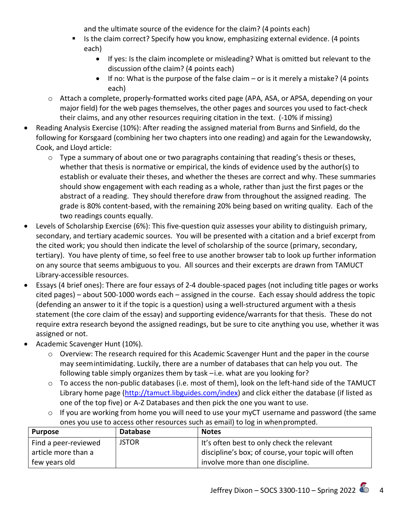and the ultimate source of the evidence for the claim? (4 points each)

- Is the claim correct? Specify how you know, emphasizing external evidence. (4 points each)
	- If yes: Is the claim incomplete or misleading? What is omitted but relevant to the discussion ofthe claim? (4 points each)
	- If no: What is the purpose of the false claim or is it merely a mistake? (4 points each)
- o Attach a complete, properly-formatted works cited page (APA, ASA, or APSA, depending on your major field) for the web pages themselves, the other pages and sources you used to fact-check their claims, and any other resources requiring citation in the text. (-10% if missing)
- Reading Analysis Exercise (10%): After reading the assigned material from Burns and Sinfield, do the following for Korsgaard (combining her two chapters into one reading) and again for the Lewandowsky, Cook, and Lloyd article:
	- o Type a summary of about one or two paragraphs containing that reading's thesis or theses, whether that thesis is normative or empirical, the kinds of evidence used by the author(s) to establish or evaluate their theses, and whether the theses are correct and why. These summaries should show engagement with each reading as a whole, rather than just the first pages or the abstract of a reading. They should therefore draw from throughout the assigned reading. The grade is 80% content-based, with the remaining 20% being based on writing quality. Each of the two readings counts equally.
- Levels of Scholarship Exercise (6%): This five-question quiz assesses your ability to distinguish primary, secondary, and tertiary academic sources. You will be presented with a citation and a brief excerpt from the cited work; you should then indicate the level of scholarship of the source (primary, secondary, tertiary). You have plenty of time, so feel free to use another browser tab to look up further information on any source that seems ambiguous to you. All sources and their excerpts are drawn from TAMUCT Library-accessible resources.
- Essays (4 brief ones): There are four essays of 2-4 double-spaced pages (not including title pages or works cited pages) – about 500-1000 words each – assigned in the course. Each essay should address the topic (defending an answer to it if the topic is a question) using a well-structured argument with a thesis statement (the core claim of the essay) and supporting evidence/warrants for that thesis. These do not require extra research beyond the assigned readings, but be sure to cite anything you use, whether it was assigned or not.
- Academic Scavenger Hunt (10%).
	- o Overview: The research required for this Academic Scavenger Hunt and the paper in the course may seemintimidating. Luckily, there are a number of databases that can help you out. The following table simply organizes them by task –i.e. what are you looking for?
	- o To access the non-public databases (i.e. most of them), look on the left-hand side of the TAMUCT Library home page [\(http://tamuct.libguides.com/index\)](http://tamuct.libguides.com/index) and click either the database (if listed as one of the top five) or A-Z Databases and then pick the one you want to use.
	- o If you are working from home you will need to use your myCT username and password (the same ones you use to access other resources such as email) to log in whenprompted.

| <b>Purpose</b>       | <b>Database</b> | <b>Notes</b>                                       |
|----------------------|-----------------|----------------------------------------------------|
| Find a peer-reviewed | <b>JSTOR</b>    | It's often best to only check the relevant         |
| article more than a  |                 | discipline's box; of course, your topic will often |
| few years old        |                 | involve more than one discipline.                  |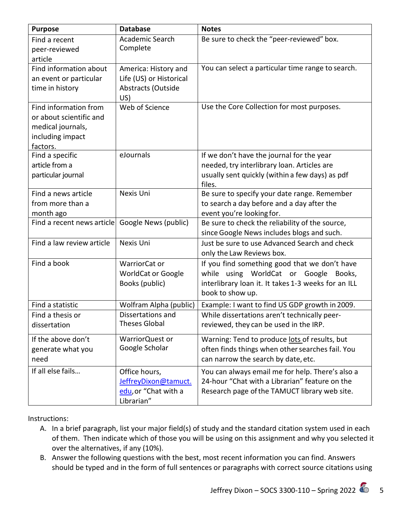| <b>Purpose</b>                                                                                        | <b>Database</b>                                                              | <b>Notes</b>                                                                                                                                                      |
|-------------------------------------------------------------------------------------------------------|------------------------------------------------------------------------------|-------------------------------------------------------------------------------------------------------------------------------------------------------------------|
| Find a recent<br>peer-reviewed<br>article                                                             | Academic Search<br>Complete                                                  | Be sure to check the "peer-reviewed" box.                                                                                                                         |
| Find information about<br>an event or particular<br>time in history                                   | America: History and<br>Life (US) or Historical<br>Abstracts (Outside<br>US) | You can select a particular time range to search.                                                                                                                 |
| Find information from<br>or about scientific and<br>medical journals,<br>including impact<br>factors. | Web of Science                                                               | Use the Core Collection for most purposes.                                                                                                                        |
| Find a specific<br>article from a<br>particular journal                                               | eJournals                                                                    | If we don't have the journal for the year<br>needed, try interlibrary loan. Articles are<br>usually sent quickly (within a few days) as pdf<br>files.             |
| Find a news article<br>from more than a<br>month ago                                                  | Nexis Uni                                                                    | Be sure to specify your date range. Remember<br>to search a day before and a day after the<br>event you're looking for.                                           |
| Find a recent news article                                                                            | Google News (public)                                                         | Be sure to check the reliability of the source,<br>since Google News includes blogs and such.                                                                     |
| Find a law review article                                                                             | Nexis Uni                                                                    | Just be sure to use Advanced Search and check<br>only the Law Reviews box.                                                                                        |
| Find a book                                                                                           | WarriorCat or<br><b>WorldCat or Google</b><br>Books (public)                 | If you find something good that we don't have<br>while using WorldCat or Google Books,<br>interlibrary loan it. It takes 1-3 weeks for an ILL<br>book to show up. |
| Find a statistic                                                                                      | Wolfram Alpha (public)                                                       | Example: I want to find US GDP growth in 2009.                                                                                                                    |
| Find a thesis or<br>dissertation                                                                      | Dissertations and<br>Theses Global                                           | While dissertations aren't technically peer-<br>reviewed, they can be used in the IRP.                                                                            |
| If the above don't<br>generate what you<br>need                                                       | WarriorQuest or<br>Google Scholar                                            | Warning: Tend to produce lots of results, but<br>often finds things when other searches fail. You<br>can narrow the search by date, etc.                          |
| If all else fails                                                                                     | Office hours,<br>JeffreyDixon@tamuct.<br>edu, or "Chat with a<br>Librarian"  | You can always email me for help. There's also a<br>24-hour "Chat with a Librarian" feature on the<br>Research page of the TAMUCT library web site.               |

Instructions:

- A. In a brief paragraph, list your major field(s) of study and the standard citation system used in each of them. Then indicate which of those you will be using on this assignment and why you selected it over the alternatives, if any (10%).
- B. Answer the following questions with the best, most recent information you can find. Answers should be typed and in the form of full sentences or paragraphs with correct source citations using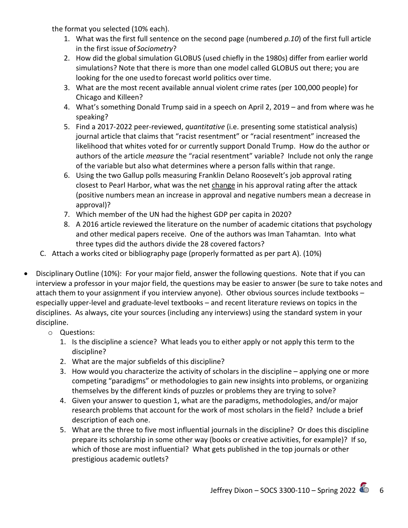the format you selected (10% each).

- 1. What was the first full sentence on the second page (numbered *p.10*) of the first full article in the first issue of *Sociometry*?
- 2. How did the global simulation GLOBUS (used chiefly in the 1980s) differ from earlier world simulations? Note that there is more than one model called GLOBUS out there; you are looking for the one usedto forecast world politics over time.
- 3. What are the most recent available annual violent crime rates (per 100,000 people) for Chicago and Killeen?
- 4. What's something Donald Trump said in a speech on April 2, 2019 and from where was he speaking?
- 5. Find a 2017-2022 peer-reviewed, *quantitative* (i.e. presenting some statistical analysis) journal article that claims that "racist resentment" or "racial resentment" increased the likelihood that whites voted for or currently support Donald Trump. How do the author or authors of the article *measure* the "racial resentment" variable? Include not only the range of the variable but also what determines where a person falls within that range.
- 6. Using the two Gallup polls measuring Franklin Delano Roosevelt's job approval rating closest to Pearl Harbor, what was the net change in his approval rating after the attack (positive numbers mean an increase in approval and negative numbers mean a decrease in approval)?
- 7. Which member of the UN had the highest GDP per capita in 2020?
- 8. A 2016 article reviewed the literature on the number of academic citations that psychology and other medical papers receive. One of the authors was Iman Tahamtan. Into what three types did the authors divide the 28 covered factors?
- C. Attach a works cited or bibliography page (properly formatted as per part A). (10%)
- Disciplinary Outline (10%): For your major field, answer the following questions. Note that if you can interview a professor in your major field, the questions may be easier to answer (be sure to take notes and attach them to your assignment if you interview anyone). Other obvious sources include textbooks – especially upper-level and graduate-level textbooks – and recent literature reviews on topics in the disciplines. As always, cite your sources (including any interviews) using the standard system in your discipline.
	- o Questions:
		- 1. Is the discipline a science? What leads you to either apply or not apply this term to the discipline?
		- 2. What are the major subfields of this discipline?
		- 3. How would you characterize the activity of scholars in the discipline applying one or more competing "paradigms" or methodologies to gain new insights into problems, or organizing themselves by the different kinds of puzzles or problems they are trying to solve?
		- 4. Given your answer to question 1, what are the paradigms, methodologies, and/or major research problems that account for the work of most scholars in the field? Include a brief description of each one.
		- 5. What are the three to five most influential journals in the discipline? Or does this discipline prepare its scholarship in some other way (books or creative activities, for example)? If so, which of those are most influential? What gets published in the top journals or other prestigious academic outlets?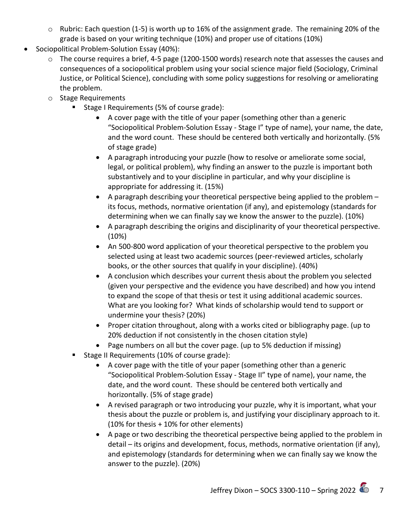- o Rubric: Each question (1-5) is worth up to 16% of the assignment grade. The remaining 20% of the grade is based on your writing technique (10%) and proper use of citations (10%)
- Sociopolitical Problem-Solution Essay (40%):
	- o The course requires a brief, 4-5 page (1200-1500 words) research note that assesses the causes and consequences of a sociopolitical problem using your social science major field (Sociology, Criminal Justice, or Political Science), concluding with some policy suggestions for resolving or ameliorating the problem.
	- o Stage Requirements
		- Stage I Requirements (5% of course grade):
			- A cover page with the title of your paper (something other than a generic "Sociopolitical Problem-Solution Essay - Stage I" type of name), your name, the date, and the word count. These should be centered both vertically and horizontally. (5% of stage grade)
			- A paragraph introducing your puzzle (how to resolve or ameliorate some social, legal, or political problem), why finding an answer to the puzzle is important both substantively and to your discipline in particular, and why your discipline is appropriate for addressing it. (15%)
			- A paragraph describing your theoretical perspective being applied to the problem its focus, methods, normative orientation (if any), and epistemology (standards for determining when we can finally say we know the answer to the puzzle). (10%)
			- A paragraph describing the origins and disciplinarity of your theoretical perspective. (10%)
			- An 500-800 word application of your theoretical perspective to the problem you selected using at least two academic sources (peer-reviewed articles, scholarly books, or the other sources that qualify in your discipline). (40%)
			- A conclusion which describes your current thesis about the problem you selected (given your perspective and the evidence you have described) and how you intend to expand the scope of that thesis or test it using additional academic sources. What are you looking for? What kinds of scholarship would tend to support or undermine your thesis? (20%)
			- Proper citation throughout, along with a works cited or bibliography page. (up to 20% deduction if not consistently in the chosen citation style)
			- Page numbers on all but the cover page. (up to 5% deduction if missing)
		- Stage II Requirements (10% of course grade):
			- A cover page with the title of your paper (something other than a generic "Sociopolitical Problem-Solution Essay - Stage II" type of name), your name, the date, and the word count. These should be centered both vertically and horizontally. (5% of stage grade)
			- A revised paragraph or two introducing your puzzle, why it is important, what your thesis about the puzzle or problem is, and justifying your disciplinary approach to it. (10% for thesis + 10% for other elements)
			- A page or two describing the theoretical perspective being applied to the problem in detail – its origins and development, focus, methods, normative orientation (if any), and epistemology (standards for determining when we can finally say we know the answer to the puzzle). (20%)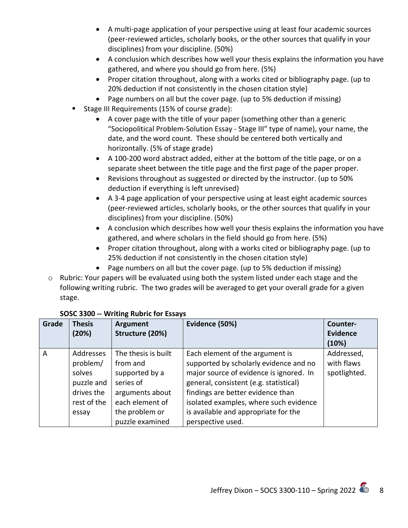- A multi-page application of your perspective using at least four academic sources (peer-reviewed articles, scholarly books, or the other sources that qualify in your disciplines) from your discipline. (50%)
- A conclusion which describes how well your thesis explains the information you have gathered, and where you should go from here. (5%)
- Proper citation throughout, along with a works cited or bibliography page. (up to 20% deduction if not consistently in the chosen citation style)
- Page numbers on all but the cover page. (up to 5% deduction if missing)
- **Stage III Requirements (15% of course grade):** 
	- A cover page with the title of your paper (something other than a generic "Sociopolitical Problem-Solution Essay - Stage III" type of name), your name, the date, and the word count. These should be centered both vertically and horizontally. (5% of stage grade)
	- A 100-200 word abstract added, either at the bottom of the title page, or on a separate sheet between the title page and the first page of the paper proper.
	- Revisions throughout as suggested or directed by the instructor. (up to 50% deduction if everything is left unrevised)
	- A 3-4 page application of your perspective using at least eight academic sources (peer-reviewed articles, scholarly books, or the other sources that qualify in your disciplines) from your discipline. (50%)
	- A conclusion which describes how well your thesis explains the information you have gathered, and where scholars in the field should go from here. (5%)
	- Proper citation throughout, along with a works cited or bibliography page. (up to 25% deduction if not consistently in the chosen citation style)
	- Page numbers on all but the cover page. (up to 5% deduction if missing)
- o Rubric: Your papers will be evaluated using both the system listed under each stage and the following writing rubric. The two grades will be averaged to get your overall grade for a given stage.

| Grade | <b>Thesis</b><br>(20%)                                                              | <b>Argument</b><br>Structure (20%)                                                                                                        | Evidence (50%)                                                                                                                                                                                                                                                                                             | Counter-<br><b>Evidence</b><br>(10%)     |
|-------|-------------------------------------------------------------------------------------|-------------------------------------------------------------------------------------------------------------------------------------------|------------------------------------------------------------------------------------------------------------------------------------------------------------------------------------------------------------------------------------------------------------------------------------------------------------|------------------------------------------|
| A     | Addresses<br>problem/<br>solves<br>puzzle and<br>drives the<br>rest of the<br>essay | The thesis is built<br>from and<br>supported by a<br>series of<br>arguments about<br>each element of<br>the problem or<br>puzzle examined | Each element of the argument is<br>supported by scholarly evidence and no<br>major source of evidence is ignored. In<br>general, consistent (e.g. statistical)<br>findings are better evidence than<br>isolated examples, where such evidence<br>is available and appropriate for the<br>perspective used. | Addressed,<br>with flaws<br>spotlighted. |

# **SOSC 3300 -- Writing Rubric for Essays**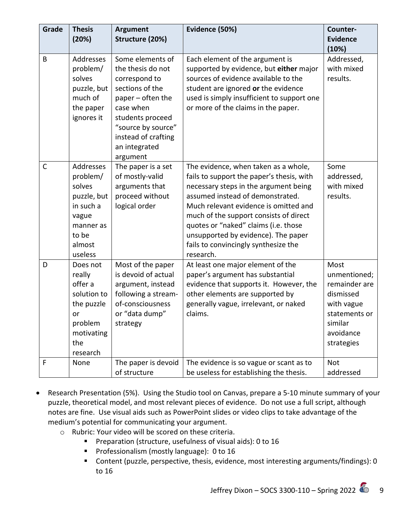| Grade        | <b>Thesis</b><br>(20%)                                                                                          | <b>Argument</b><br>Structure (20%)                                                                                                                                                                        | Evidence (50%)                                                                                                                                                                                                                                                                                                                                                                        | Counter-<br><b>Evidence</b>                                                                                             |
|--------------|-----------------------------------------------------------------------------------------------------------------|-----------------------------------------------------------------------------------------------------------------------------------------------------------------------------------------------------------|---------------------------------------------------------------------------------------------------------------------------------------------------------------------------------------------------------------------------------------------------------------------------------------------------------------------------------------------------------------------------------------|-------------------------------------------------------------------------------------------------------------------------|
| B            | Addresses<br>problem/<br>solves<br>puzzle, but<br>much of<br>the paper<br>ignores it                            | Some elements of<br>the thesis do not<br>correspond to<br>sections of the<br>paper – often the<br>case when<br>students proceed<br>"source by source"<br>instead of crafting<br>an integrated<br>argument | Each element of the argument is<br>supported by evidence, but either major<br>sources of evidence available to the<br>student are ignored or the evidence<br>used is simply insufficient to support one<br>or more of the claims in the paper.                                                                                                                                        | (10%)<br>Addressed,<br>with mixed<br>results.                                                                           |
| $\mathsf{C}$ | Addresses<br>problem/<br>solves<br>puzzle, but<br>in such a<br>vague<br>manner as<br>to be<br>almost<br>useless | The paper is a set<br>of mostly-valid<br>arguments that<br>proceed without<br>logical order                                                                                                               | The evidence, when taken as a whole,<br>fails to support the paper's thesis, with<br>necessary steps in the argument being<br>assumed instead of demonstrated.<br>Much relevant evidence is omitted and<br>much of the support consists of direct<br>quotes or "naked" claims (i.e. those<br>unsupported by evidence). The paper<br>fails to convincingly synthesize the<br>research. | Some<br>addressed,<br>with mixed<br>results.                                                                            |
| D            | Does not<br>really<br>offer a<br>solution to<br>the puzzle<br>or<br>problem<br>motivating<br>the<br>research    | Most of the paper<br>is devoid of actual<br>argument, instead<br>following a stream-<br>of-consciousness<br>or "data dump"<br>strategy                                                                    | At least one major element of the<br>paper's argument has substantial<br>evidence that supports it. However, the<br>other elements are supported by<br>generally vague, irrelevant, or naked<br>claims.                                                                                                                                                                               | Most<br>unmentioned;<br>remainder are<br>dismissed<br>with vague<br>statements or<br>similar<br>avoidance<br>strategies |
| F            | None                                                                                                            | The paper is devoid<br>of structure                                                                                                                                                                       | The evidence is so vague or scant as to<br>be useless for establishing the thesis.                                                                                                                                                                                                                                                                                                    | Not<br>addressed                                                                                                        |

- Research Presentation (5%). Using the Studio tool on Canvas, prepare a 5-10 minute summary of your puzzle, theoretical model, and most relevant pieces of evidence. Do not use a full script, although notes are fine. Use visual aids such as PowerPoint slides or video clips to take advantage of the medium's potential for communicating your argument.
	- o Rubric: Your video will be scored on these criteria.
		- **Preparation (structure, usefulness of visual aids): 0 to 16**
		- **Professionalism (mostly language): 0 to 16**
		- Content (puzzle, perspective, thesis, evidence, most interesting arguments/findings): 0 to 16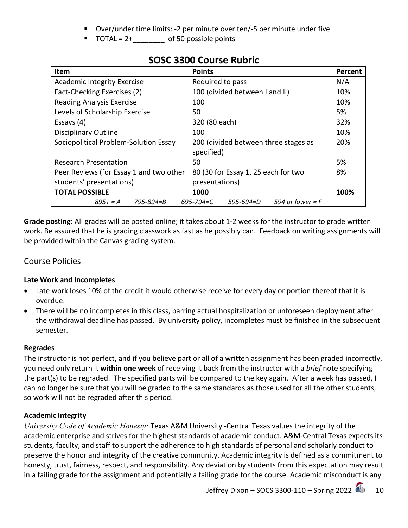- Over/under time limits: -2 per minute over ten/-5 per minute under five
- $\blacksquare$  TOTAL = 2+\_\_\_\_\_\_\_\_\_\_ of 50 possible points

| Item                                    | <b>Points</b>                                | Percent |
|-----------------------------------------|----------------------------------------------|---------|
| <b>Academic Integrity Exercise</b>      | Required to pass                             | N/A     |
| Fact-Checking Exercises (2)             | 100 (divided between I and II)               | 10%     |
| <b>Reading Analysis Exercise</b>        | 100                                          | 10%     |
| Levels of Scholarship Exercise          | 50                                           | 5%      |
| Essays $(4)$                            | 320 (80 each)                                | 32%     |
| <b>Disciplinary Outline</b>             | 100                                          | 10%     |
| Sociopolitical Problem-Solution Essay   | 200 (divided between three stages as         | 20%     |
|                                         | specified)                                   |         |
| <b>Research Presentation</b>            | 50                                           | 5%      |
| Peer Reviews (for Essay 1 and two other | 80 (30 for Essay 1, 25 each for two          | 8%      |
| students' presentations)                | presentations)                               |         |
| <b>TOTAL POSSIBLE</b>                   | 1000                                         | 100%    |
| $895+ = A$ 795-894=B                    | 594 or lower = $F$<br>695-794=C<br>595-694=D |         |

# **SOSC 3300 Course Rubric**

**Grade posting**: All grades will be posted online; it takes about 1-2 weeks for the instructor to grade written work. Be assured that he is grading classwork as fast as he possibly can. Feedback on writing assignments will be provided within the Canvas grading system.

# Course Policies

# **Late Work and Incompletes**

- Late work loses 10% of the credit it would otherwise receive for every day or portion thereof that it is overdue.
- There will be no incompletes in this class, barring actual hospitalization or unforeseen deployment after the withdrawal deadline has passed. By university policy, incompletes must be finished in the subsequent semester.

# **Regrades**

The instructor is not perfect, and if you believe part or all of a written assignment has been graded incorrectly, you need only return it **within one week** of receiving it back from the instructor with a *brief* note specifying the part(s) to be regraded. The specified parts will be compared to the key again. After a week has passed, I can no longer be sure that you will be graded to the same standards as those used for all the other students, so work will not be regraded after this period.

# **Academic Integrity**

*University Code of Academic Honesty:* Texas A&M University -Central Texas values the integrity of the academic enterprise and strives for the highest standards of academic conduct. A&M-Central Texas expects its students, faculty, and staff to support the adherence to high standards of personal and scholarly conduct to preserve the honor and integrity of the creative community. Academic integrity is defined as a commitment to honesty, trust, fairness, respect, and responsibility. Any deviation by students from this expectation may result in a failing grade for the assignment and potentially a failing grade for the course. Academic misconduct is any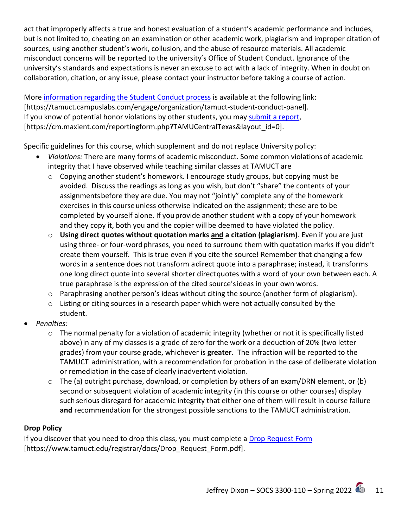act that improperly affects a true and honest evaluation of a student's academic performance and includes, but is not limited to, cheating on an examination or other academic work, plagiarism and improper citation of sources, using another student's work, collusion, and the abuse of resource materials. All academic misconduct concerns will be reported to the university's Office of Student Conduct. Ignorance of the university's standards and expectations is never an excuse to act with a lack of integrity. When in doubt on collaboration, citation, or any issue, please contact your instructor before taking a course of action.

More [information regarding the Student Conduct process](https://tamuct.campuslabs.com/engage/organization/tamuct-student-conduct-pane) is available at the following link: [https://tamuct.campuslabs.com/engage/organization/tamuct-student-conduct-panel]. If you know of potential honor violations by other students, you may [submit a report,](https://cm.maxient.com/reportingform.php?TAMUCentralTexas&layout_id=0) [https://cm.maxient.com/reportingform.php?TAMUCentralTexas&layout\_id=0].

Specific guidelines for this course, which supplement and do not replace University policy:

- *Violations:* There are many forms of academic misconduct. Some common violationsof academic integrity that I have observed while teaching similar classes at TAMUCT are
	- $\circ$  Copying another student's homework. I encourage study groups, but copying must be avoided. Discuss the readings as long as you wish, but don't "share" the contents of your assignmentsbefore they are due. You may not "jointly" complete any of the homework exercises in this course unless otherwise indicated on the assignment; these are to be completed by yourself alone. If youprovide another student with a copy of your homework and they copy it, both you and the copier will be deemed to have violated the policy.
	- o **Using direct quotes without quotation marks and a citation (plagiarism)**. Even if you are just using three- or four-word phrases, you need to surround them with quotation marks if you didn't create them yourself. This is true even if you cite the source! Remember that changing a few words in a sentence does not transform adirect quote into a paraphrase; instead, it transforms one long direct quote into several shorter directquotes with a word of your own between each. A true paraphrase is the expression of the cited source'sideas in your own words.
	- $\circ$  Paraphrasing another person's ideas without citing the source (another form of plagiarism).
	- o Listing or citing sources in a research paper which were not actually consulted by the student.
- *Penalties:*
	- o The normal penalty for a violation of academic integrity (whether or not it is specifically listed above)in any of my classes is a grade of zero for the work or a deduction of 20% (two letter grades) fromyour course grade, whichever is **greater**. The infraction will be reported to the TAMUCT administration, with a recommendation for probation in the case of deliberate violation or remediation in the case of clearly inadvertent violation.
	- o The (a) outright purchase, download, or completion by others of an exam/DRN element, or (b) second or subsequent violation of academic integrity (in this course or other courses) display such serious disregard for academic integrity that either one of them will result in course failure **and** recommendation for the strongest possible sanctions to the TAMUCT administration.

# **Drop Policy**

If you discover that you need to drop this class, you must complete a [Drop Request Form](https://www.tamuct.edu/registrar/docs/Drop_Request_Form.pdf) [https://www.tamuct.edu/registrar/docs/Drop\_Request\_Form.pdf].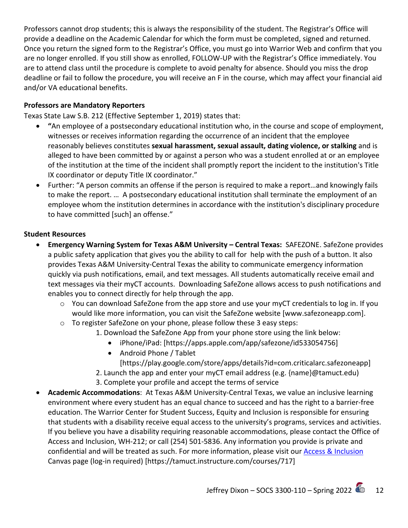Professors cannot drop students; this is always the responsibility of the student. The Registrar's Office will provide a deadline on the Academic Calendar for which the form must be completed, signed and returned. Once you return the signed form to the Registrar's Office, you must go into Warrior Web and confirm that you are no longer enrolled. If you still show as enrolled, FOLLOW-UP with the Registrar's Office immediately. You are to attend class until the procedure is complete to avoid penalty for absence. Should you miss the drop deadline or fail to follow the procedure, you will receive an F in the course, which may affect your financial aid and/or VA educational benefits.

#### **Professors are Mandatory Reporters**

Texas State Law S.B. 212 (Effective September 1, 2019) states that:

- **"**An employee of a postsecondary educational institution who, in the course and scope of employment, witnesses or receives information regarding the occurrence of an incident that the employee reasonably believes constitutes **sexual harassment, sexual assault, dating violence, or stalking** and is alleged to have been committed by or against a person who was a student enrolled at or an employee of the institution at the time of the incident shall promptly report the incident to the institution's Title IX coordinator or deputy Title IX coordinator."
- Further: "A person commits an offense if the person is required to make a report…and knowingly fails to make the report. … A postsecondary educational institution shall terminate the employment of an employee whom the institution determines in accordance with the institution's disciplinary procedure to have committed [such] an offense."

#### **Student Resources**

- **Emergency Warning System for Texas A&M University – Central Texas:** SAFEZONE. SafeZone provides a public safety application that gives you the ability to call for help with the push of a button. It also provides Texas A&M University-Central Texas the ability to communicate emergency information quickly via push notifications, email, and text messages. All students automatically receive email and text messages via their myCT accounts. Downloading SafeZone allows access to push notifications and enables you to connect directly for help through the app.
	- $\circ$  You can download SafeZone from the app store and use your myCT credentials to log in. If you would like more information, you can visit the SafeZone website [www.safezoneapp.com].
	- o To register SafeZone on your phone, please follow these 3 easy steps:
		- 1. Download the SafeZone App from your phone store using the link below:
			- iPhone/iPad: [https://apps.apple.com/app/safezone/id533054756]
			- Android Phone / Tablet [https://play.google.com/store/apps/details?id=com.criticalarc.safezoneapp]
		- 2. Launch the app and enter your myCT email address (e.g. {name}@tamuct.edu)
		- 3. Complete your profile and accept the terms of service
- **Academic Accommodations**: At Texas A&M University-Central Texas, we value an inclusive learning environment where every student has an equal chance to succeed and has the right to a barrier-free education. The Warrior Center for Student Success, Equity and Inclusion is responsible for ensuring that students with a disability receive equal access to the university's programs, services and activities. If you believe you have a disability requiring reasonable accommodations, please contact the Office of Access and Inclusion, WH-212; or call (254) 501-5836. Any information you provide is private and confidential and will be treated as such. For more information, please visit ou[r Access & Inclusion](https://tamuct.instructure.com/courses/717) Canvas page (log-in required) [https://tamuct.instructure.com/courses/717]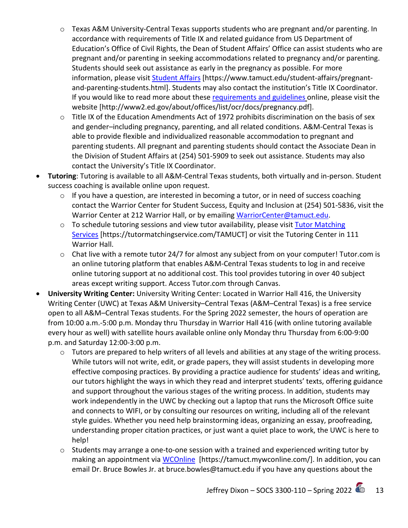- o Texas A&M University-Central Texas supports students who are pregnant and/or parenting. In accordance with requirements of Title IX and related guidance from US Department of Education's Office of Civil Rights, the Dean of Student Affairs' Office can assist students who are pregnant and/or parenting in seeking accommodations related to pregnancy and/or parenting. Students should seek out assistance as early in the pregnancy as possible. For more information, please visit [Student Affairs](https://www.tamuct.edu/student-affairs/pregnant-and-parenting-students.html) [https://www.tamuct.edu/student-affairs/pregnantand-parenting-students.html]. Students may also contact the institution's Title IX Coordinator. If you would like to read more about thes[e requirements and guidelines](http://www2.ed.gov/about/offices/list/ocr/docs/pregnancy.pdf) online, please visit the website [http://www2.ed.gov/about/offices/list/ocr/docs/pregnancy.pdf].
- o Title IX of the Education Amendments Act of 1972 prohibits discrimination on the basis of sex and gender–including pregnancy, parenting, and all related conditions. A&M-Central Texas is able to provide flexible and individualized reasonable accommodation to pregnant and parenting students. All pregnant and parenting students should contact the Associate Dean in the Division of Student Affairs at (254) 501-5909 to seek out assistance. Students may also contact the University's Title IX Coordinator.
- **Tutoring**: Tutoring is available to all A&M-Central Texas students, both virtually and in-person. Student success coaching is available online upon request.
	- o If you have a question, are interested in becoming a tutor, or in need of success coaching contact the Warrior Center for Student Success, Equity and Inclusion at (254) 501-5836, visit the Warrior Center at 212 Warrior Hall, or by emailing [WarriorCenter@tamuct.edu.](mailto:WarriorCenter@tamuct.edu)
	- o To schedule tutoring sessions and view tutor availability, please visit Tutor Matching [Services](https://nam04.safelinks.protection.outlook.com/?url=http%3A%2F%2Fwww.tutormatchingservices.com%2FTAMUCT&data=04%7C01%7Clisa.bunkowski%40tamuct.edu%7C886784139069461670c308d9aa01f55e%7C9eed4e3000f744849ff193ad8005acec%7C0%7C0%7C637727747643427346%7CUnknown%7CTWFpbGZsb3d8eyJWIjoiMC4wLjAwMDAiLCJQIjoiV2luMzIiLCJBTiI6Ik1haWwiLCJXVCI6Mn0%3D%7C3000&sdata=D%2F8HN2bUT1lLPfs5qSqKYlwh8a7pZVy7isM2gppluQE%3D&reserved=0) [https://tutormatchingservice.com/TAMUCT] or visit the Tutoring Center in 111 Warrior Hall.
	- o Chat live with a remote tutor 24/7 for almost any subject from on your computer! Tutor.com is an online tutoring platform that enables A&M-Central Texas students to log in and receive online tutoring support at no additional cost. This tool provides tutoring in over 40 subject areas except writing support. Access Tutor.com through Canvas.
- **University Writing Center:** University Writing Center: Located in Warrior Hall 416, the University Writing Center (UWC) at Texas A&M University–Central Texas (A&M–Central Texas) is a free service open to all A&M–Central Texas students. For the Spring 2022 semester, the hours of operation are from 10:00 a.m.-5:00 p.m. Monday thru Thursday in Warrior Hall 416 (with online tutoring available every hour as well) with satellite hours available online only Monday thru Thursday from 6:00-9:00 p.m. and Saturday 12:00-3:00 p.m.
	- o Tutors are prepared to help writers of all levels and abilities at any stage of the writing process. While tutors will not write, edit, or grade papers, they will assist students in developing more effective composing practices. By providing a practice audience for students' ideas and writing, our tutors highlight the ways in which they read and interpret students' texts, offering guidance and support throughout the various stages of the writing process. In addition, students may work independently in the UWC by checking out a laptop that runs the Microsoft Office suite and connects to WIFI, or by consulting our resources on writing, including all of the relevant style guides. Whether you need help brainstorming ideas, organizing an essay, proofreading, understanding proper citation practices, or just want a quiet place to work, the UWC is here to help!
	- o Students may arrange a one-to-one session with a trained and experienced writing tutor by making an appointment via [WCOnline](https://tamuct.mywconline.com/) [https://tamuct.mywconline.com/]. In addition, you can email Dr. Bruce Bowles Jr. at bruce.bowles@tamuct.edu if you have any questions about the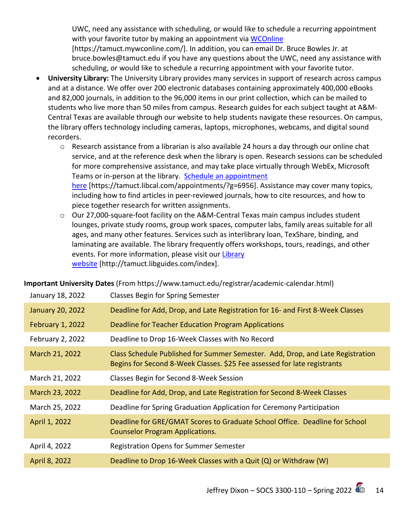UWC, need any assistance with scheduling, or would like to schedule a recurring appointment with your favorite tutor by making an appointment via [WCOnline](https://tamuct.mywconline.com/) [https://tamuct.mywconline.com/]. In addition, you can email Dr. Bruce Bowles Jr. at bruce.bowles@tamuct.edu if you have any questions about the UWC, need any assistance with scheduling, or would like to schedule a recurring appointment with your favorite tutor.

- **University Library:** The University Library provides many services in support of research across campus and at a distance. We offer over 200 electronic databases containing approximately 400,000 eBooks and 82,000 journals, in addition to the 96,000 items in our print collection, which can be mailed to students who live more than 50 miles from campus. Research guides for each subject taught at A&M-Central Texas are available through our website to help students navigate these resources. On campus, the library offers technology including cameras, laptops, microphones, webcams, and digital sound recorders.
	- o Research assistance from a librarian is also available 24 hours a day through our online chat service, and at the reference desk when the library is open. Research sessions can be scheduled for more comprehensive assistance, and may take place virtually through WebEx, Microsoft Teams or in-person at the library. Schedule an appointment [here](https://nam04.safelinks.protection.outlook.com/?url=https%3A%2F%2Ftamuct.libcal.com%2Fappointments%2F%3Fg%3D6956&data=04%7C01%7Clisa.bunkowski%40tamuct.edu%7Cde2c07d9f5804f09518008d9ab7ba6ff%7C9eed4e3000f744849ff193ad8005acec%7C0%7C0%7C637729369835011558%7CUnknown%7CTWFpbGZsb3d8eyJWIjoiMC4wLjAwMDAiLCJQIjoiV2luMzIiLCJBTiI6Ik1haWwiLCJXVCI6Mn0%3D%7C3000&sdata=KhtjgRSAw9aq%2FoBsB6wyu8b7PSuGN5EGPypzr3Ty2No%3D&reserved=0) [https://tamuct.libcal.com/appointments/?g=6956]. Assistance may cover many topics, including how to find articles in peer-reviewed journals, how to cite resources, and how to piece together research for written assignments.
	- o Our 27,000-square-foot facility on the A&M-Central Texas main campus includes student lounges, private study rooms, group work spaces, computer labs, family areas suitable for all ages, and many other features. Services such as interlibrary loan, TexShare, binding, and laminating are available. The library frequently offers workshops, tours, readings, and other events. For more information, please visit our Library [website](https://nam04.safelinks.protection.outlook.com/?url=https%3A%2F%2Ftamuct.libguides.com%2Findex&data=04%7C01%7Clisa.bunkowski%40tamuct.edu%7C7d8489e8839a4915335f08d916f067f2%7C9eed4e3000f744849ff193ad8005acec%7C0%7C0%7C637566044056484222%7CUnknown%7CTWFpbGZsb3d8eyJWIjoiMC4wLjAwMDAiLCJQIjoiV2luMzIiLCJBTiI6Ik1haWwiLCJXVCI6Mn0%3D%7C1000&sdata=2R755V6rcIyedGrd4Os5rkgn1PvhHKU3kUV1vBKiHFo%3D&reserved=0) [http://tamuct.libguides.com/index].

**Important University Dates** (From https://www.tamuct.edu/registrar/academic-calendar.html)

| January 18, 2022        | <b>Classes Begin for Spring Semester</b>                                                                                                                   |
|-------------------------|------------------------------------------------------------------------------------------------------------------------------------------------------------|
| <b>January 20, 2022</b> | Deadline for Add, Drop, and Late Registration for 16- and First 8-Week Classes                                                                             |
| <b>February 1, 2022</b> | Deadline for Teacher Education Program Applications                                                                                                        |
| February 2, 2022        | Deadline to Drop 16-Week Classes with No Record                                                                                                            |
| March 21, 2022          | Class Schedule Published for Summer Semester. Add, Drop, and Late Registration<br>Begins for Second 8-Week Classes. \$25 Fee assessed for late registrants |
| March 21, 2022          | Classes Begin for Second 8-Week Session                                                                                                                    |
| March 23, 2022          | Deadline for Add, Drop, and Late Registration for Second 8-Week Classes                                                                                    |
| March 25, 2022          | Deadline for Spring Graduation Application for Ceremony Participation                                                                                      |
| April 1, 2022           | Deadline for GRE/GMAT Scores to Graduate School Office. Deadline for School<br><b>Counselor Program Applications.</b>                                      |
| April 4, 2022           | <b>Registration Opens for Summer Semester</b>                                                                                                              |
| April 8, 2022           | Deadline to Drop 16-Week Classes with a Quit (Q) or Withdraw (W)                                                                                           |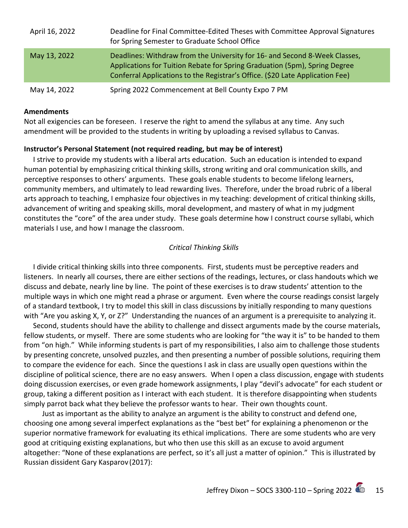| April 16, 2022 | Deadline for Final Committee-Edited Theses with Committee Approval Signatures<br>for Spring Semester to Graduate School Office                                                                                                            |
|----------------|-------------------------------------------------------------------------------------------------------------------------------------------------------------------------------------------------------------------------------------------|
| May 13, 2022   | Deadlines: Withdraw from the University for 16- and Second 8-Week Classes,<br>Applications for Tuition Rebate for Spring Graduation (5pm), Spring Degree<br>Conferral Applications to the Registrar's Office. (\$20 Late Application Fee) |
| May 14, 2022   | Spring 2022 Commencement at Bell County Expo 7 PM                                                                                                                                                                                         |

#### **Amendments**

Not all exigencies can be foreseen. I reserve the right to amend the syllabus at any time. Any such amendment will be provided to the students in writing by uploading a revised syllabus to Canvas.

#### **Instructor's Personal Statement (not required reading, but may be of interest)**

 I strive to provide my students with a liberal arts education. Such an education is intended to expand human potential by emphasizing critical thinking skills, strong writing and oral communication skills, and perceptive responses to others' arguments. These goals enable students to become lifelong learners, community members, and ultimately to lead rewarding lives. Therefore, under the broad rubric of a liberal arts approach to teaching, I emphasize four objectives in my teaching: development of critical thinking skills, advancement of writing and speaking skills, moral development, and mastery of what in my judgment constitutes the "core" of the area under study. These goals determine how I construct course syllabi, which materials I use, and how I manage the classroom.

#### *Critical Thinking Skills*

 I divide critical thinking skills into three components. First, students must be perceptive readers and listeners. In nearly all courses, there are either sections of the readings, lectures, or class handouts which we discuss and debate, nearly line by line. The point of these exercises is to draw students' attention to the multiple ways in which one might read a phrase or argument. Even where the course readings consist largely of a standard textbook, I try to model this skill in class discussions by initially responding to many questions with "Are you asking X, Y, or Z?" Understanding the nuances of an argument is a prerequisite to analyzing it.

 Second, students should have the ability to challenge and dissect arguments made by the course materials, fellow students, or myself. There are some students who are looking for "the way it is" to be handed to them from "on high." While informing students is part of my responsibilities, I also aim to challenge those students by presenting concrete, unsolved puzzles, and then presenting a number of possible solutions, requiring them to compare the evidence for each. Since the questions I ask in class are usually open questions within the discipline of political science, there are no easy answers. When I open a class discussion, engage with students doing discussion exercises, or even grade homework assignments, I play "devil's advocate" for each student or group, taking a different position as I interact with each student. It is therefore disappointing when students simply parrot back what they believe the professor wants to hear. Their own thoughts count.

 Just as important as the ability to analyze an argument is the ability to construct and defend one, choosing one among several imperfect explanations as the "best bet" for explaining a phenomenon or the superior normative framework for evaluating its ethical implications. There are some students who are very good at critiquing existing explanations, but who then use this skill as an excuse to avoid argument altogether: "None of these explanations are perfect, so it's all just a matter of opinion." This is illustrated by Russian dissident Gary Kasparov (2017):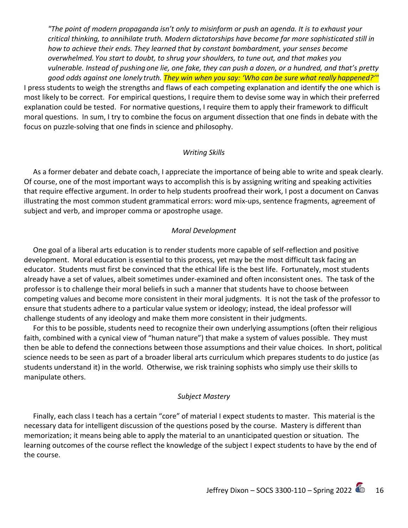*"The point of modern propaganda isn't only to misinform or push an agenda. It is to exhaust your critical thinking, to annihilate truth. Modern dictatorships have become far more sophisticated still in how to achieve their ends. They learned that by constant bombardment, your senses become overwhelmed. You start to doubt, to shrug your shoulders, to tune out, and that makes you vulnerable. Instead of pushing one lie, one fake, they can push a dozen, or a hundred, and that's pretty good odds against one lonely truth. They win when you say: 'Who can be sure what really happened?'"*

I press students to weigh the strengths and flaws of each competing explanation and identify the one which is most likely to be correct. For empirical questions, I require them to devise some way in which their preferred explanation could be tested. For normative questions, I require them to apply their framework to difficult moral questions. In sum, I try to combine the focus on argument dissection that one finds in debate with the focus on puzzle-solving that one finds in science and philosophy.

#### *Writing Skills*

 As a former debater and debate coach, I appreciate the importance of being able to write and speak clearly. Of course, one of the most important ways to accomplish this is by assigning writing and speaking activities that require effective argument. In order to help students proofread their work, I post a document on Canvas illustrating the most common student grammatical errors: word mix-ups, sentence fragments, agreement of subject and verb, and improper comma or apostrophe usage.

#### *Moral Development*

 One goal of a liberal arts education is to render students more capable of self-reflection and positive development. Moral education is essential to this process, yet may be the most difficult task facing an educator. Students must first be convinced that the ethical life is the best life. Fortunately, most students already have a set of values, albeit sometimes under-examined and often inconsistent ones. The task of the professor is to challenge their moral beliefs in such a manner that students have to choose between competing values and become more consistent in their moral judgments. It is not the task of the professor to ensure that students adhere to a particular value system or ideology; instead, the ideal professor will challenge students of any ideology and make them more consistent in their judgments.

 For this to be possible, students need to recognize their own underlying assumptions (often their religious faith, combined with a cynical view of "human nature") that make a system of values possible. They must then be able to defend the connections between those assumptions and their value choices. In short, political science needs to be seen as part of a broader liberal arts curriculum which prepares students to do justice (as students understand it) in the world. Otherwise, we risk training sophists who simply use their skills to manipulate others.

#### *Subject Mastery*

 Finally, each class I teach has a certain "core" of material I expect students to master. This material is the necessary data for intelligent discussion of the questions posed by the course. Mastery is different than memorization; it means being able to apply the material to an unanticipated question or situation. The learning outcomes of the course reflect the knowledge of the subject I expect students to have by the end of the course.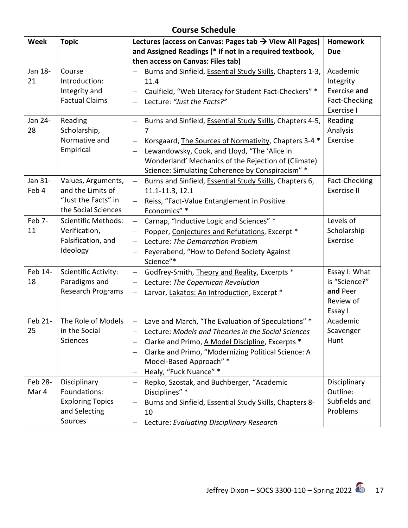# **Course Schedule**

| Week             | <b>Topic</b>                                                                          | Lectures (access on Canvas: Pages tab $\rightarrow$ View All Pages)                                                                                                                                                                                                                                                                 | <b>Homework</b>                                                    |
|------------------|---------------------------------------------------------------------------------------|-------------------------------------------------------------------------------------------------------------------------------------------------------------------------------------------------------------------------------------------------------------------------------------------------------------------------------------|--------------------------------------------------------------------|
|                  |                                                                                       | and Assigned Readings (* if not in a required textbook,                                                                                                                                                                                                                                                                             | <b>Due</b>                                                         |
|                  |                                                                                       | then access on Canvas: Files tab)                                                                                                                                                                                                                                                                                                   |                                                                    |
| Jan 18-<br>21    | Course<br>Introduction:<br>Integrity and                                              | Burns and Sinfield, Essential Study Skills, Chapters 1-3,<br>11.4<br>Caulfield, "Web Literacy for Student Fact-Checkers" *<br>$\qquad \qquad -$                                                                                                                                                                                     | Academic<br>Integrity<br>Exercise and                              |
|                  | <b>Factual Claims</b>                                                                 | Lecture: "Just the Facts?"                                                                                                                                                                                                                                                                                                          | Fact-Checking<br>Exercise I                                        |
| Jan 24-<br>28    | Reading<br>Scholarship,<br>Normative and<br>Empirical                                 | Burns and Sinfield, Essential Study Skills, Chapters 4-5,<br>$\qquad \qquad -$<br>7<br>Korsgaard, The Sources of Normativity, Chapters 3-4 *<br>Lewandowsky, Cook, and Lloyd, "The 'Alice in<br>$\overline{\phantom{0}}$<br>Wonderland' Mechanics of the Rejection of (Climate)<br>Science: Simulating Coherence by Conspiracism" * | Reading<br>Analysis<br>Exercise                                    |
| Jan 31-<br>Feb 4 | Values, Arguments,<br>and the Limits of<br>"Just the Facts" in<br>the Social Sciences | Burns and Sinfield, Essential Study Skills, Chapters 6,<br>$\qquad \qquad -$<br>11.1-11.3, 12.1<br>Reiss, "Fact-Value Entanglement in Positive<br>Economics" *                                                                                                                                                                      | Fact-Checking<br>Exercise II                                       |
| Feb 7-<br>11     | <b>Scientific Methods:</b><br>Verification,<br>Falsification, and<br>Ideology         | Carnap, "Inductive Logic and Sciences" *<br>$\overline{\phantom{0}}$<br>Popper, Conjectures and Refutations, Excerpt *<br>Lecture: The Demarcation Problem<br>$\equiv$<br>Feyerabend, "How to Defend Society Against<br>Science"*                                                                                                   | Levels of<br>Scholarship<br>Exercise                               |
| Feb 14-<br>18    | <b>Scientific Activity:</b><br>Paradigms and<br><b>Research Programs</b>              | Godfrey-Smith, Theory and Reality, Excerpts *<br>Lecture: The Copernican Revolution<br>$\qquad \qquad -$<br>Larvor, Lakatos: An Introduction, Excerpt *<br>$\qquad \qquad -$                                                                                                                                                        | Essay I: What<br>is "Science?"<br>and Peer<br>Review of<br>Essay I |
| Feb 21-<br>25    | The Role of Models<br>in the Social<br>Sciences                                       | Lave and March, "The Evaluation of Speculations" *<br>$\overline{\phantom{0}}$<br>Lecture: Models and Theories in the Social Sciences<br>—<br>Clarke and Primo, A Model Discipline, Excerpts *<br>Clarke and Primo, "Modernizing Political Science: A<br>Model-Based Approach" *<br>Healy, "Fuck Nuance" *                          | Academic<br>Scavenger<br>Hunt                                      |
| Feb 28-<br>Mar 4 | Disciplinary<br>Foundations:<br><b>Exploring Topics</b><br>and Selecting<br>Sources   | Repko, Szostak, and Buchberger, "Academic<br>$\overline{\phantom{0}}$<br>Disciplines" *<br>Burns and Sinfield, Essential Study Skills, Chapters 8-<br>10<br>Lecture: Evaluating Disciplinary Research                                                                                                                               | Disciplinary<br>Outline:<br>Subfields and<br>Problems              |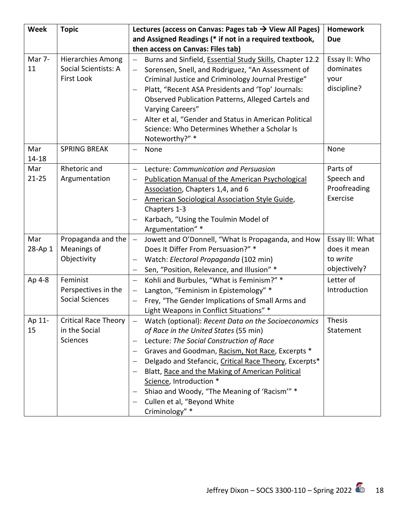| Week             | <b>Topic</b>                                                   | Lectures (access on Canvas: Pages tab $\rightarrow$ View All Pages)                                                                                                                                                                                                                                                                                                                                                                    | <b>Homework</b>                                             |
|------------------|----------------------------------------------------------------|----------------------------------------------------------------------------------------------------------------------------------------------------------------------------------------------------------------------------------------------------------------------------------------------------------------------------------------------------------------------------------------------------------------------------------------|-------------------------------------------------------------|
|                  |                                                                | and Assigned Readings (* if not in a required textbook,                                                                                                                                                                                                                                                                                                                                                                                | <b>Due</b>                                                  |
|                  |                                                                | then access on Canvas: Files tab)                                                                                                                                                                                                                                                                                                                                                                                                      |                                                             |
| Mar 7-<br>11     | <b>Hierarchies Among</b><br>Social Scientists: A<br>First Look | Burns and Sinfield, Essential Study Skills, Chapter 12.2<br>Sorensen, Snell, and Rodriguez, "An Assessment of<br>Criminal Justice and Criminology Journal Prestige"<br>Platt, "Recent ASA Presidents and 'Top' Journals:<br>Observed Publication Patterns, Alleged Cartels and<br>Varying Careers"<br>Alter et al, "Gender and Status in American Political<br>Science: Who Determines Whether a Scholar Is<br>Noteworthy?" *          | Essay II: Who<br>dominates<br>your<br>discipline?           |
| Mar<br>14-18     | <b>SPRING BREAK</b>                                            | None                                                                                                                                                                                                                                                                                                                                                                                                                                   | None                                                        |
| Mar<br>$21 - 25$ | Rhetoric and<br>Argumentation                                  | Lecture: Communication and Persuasion<br><b>Publication Manual of the American Psychological</b><br>Association, Chapters 1,4, and 6<br>American Sociological Association Style Guide,<br>Chapters 1-3<br>Karbach, "Using the Toulmin Model of<br>Argumentation" *                                                                                                                                                                     | Parts of<br>Speech and<br>Proofreading<br>Exercise          |
| Mar<br>28-Ap 1   | Propaganda and the<br>Meanings of<br>Objectivity               | Jowett and O'Donnell, "What Is Propaganda, and How<br>$\qquad \qquad -$<br>Does It Differ From Persuasion?" *<br>Watch: Electoral Propaganda (102 min)<br>Sen, "Position, Relevance, and Illusion" *                                                                                                                                                                                                                                   | Essay III: What<br>does it mean<br>to write<br>objectively? |
| Ap 4-8           | Feminist<br>Perspectives in the<br><b>Social Sciences</b>      | Kohli and Burbules, "What is Feminism?" *<br>$\qquad \qquad -$<br>Langton, "Feminism in Epistemology" *<br>$\qquad \qquad -$<br>Frey, "The Gender Implications of Small Arms and<br>$\overline{\phantom{0}}$<br>Light Weapons in Conflict Situations" *                                                                                                                                                                                | Letter of<br>Introduction                                   |
| Ap 11-<br>15     | <b>Critical Race Theory</b><br>in the Social<br>Sciences       | Watch (optional): Recent Data on the Socioeconomics<br>of Race in the United States (55 min)<br>Lecture: The Social Construction of Race<br>Graves and Goodman, Racism, Not Race, Excerpts *<br>Delgado and Stefancic, Critical Race Theory, Excerpts*<br>Blatt, Race and the Making of American Political<br>Science, Introduction *<br>Shiao and Woody, "The Meaning of 'Racism'" *<br>Cullen et al, "Beyond White<br>Criminology" * | <b>Thesis</b><br>Statement                                  |